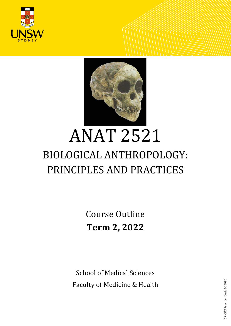<span id="page-0-0"></span>



# ANAT 2521 BIOLOGICAL ANTHROPOLOGY: PRINCIPLES AND PRACTICES

Course Outline **Term 2, 2022**

School of Medical Sciences Faculty of Medicine & Health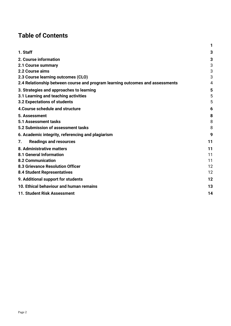# **Table of Contents**

|                                                                               | 1  |
|-------------------------------------------------------------------------------|----|
| 1. Staff                                                                      | 3  |
| 2. Course information                                                         | 3  |
| 2.1 Course summary                                                            | 3  |
| 2.2 Course aims                                                               | 3  |
| 2.3 Course learning outcomes (CLO)                                            | 3  |
| 2.4 Relationship between course and program learning outcomes and assessments | 4  |
| 3. Strategies and approaches to learning                                      | 5  |
| 3.1 Learning and teaching activities                                          | 5  |
| 3.2 Expectations of students                                                  | 5  |
| 4. Course schedule and structure                                              | 6  |
| 5. Assessment                                                                 | 8  |
| 5.1 Assessment tasks                                                          | 8  |
| 5.2 Submission of assessment tasks                                            | 8  |
| 6. Academic integrity, referencing and plagiarism                             | 9  |
| <b>Readings and resources</b><br>7.                                           | 11 |
| 8. Administrative matters                                                     | 11 |
| 8.1 General Information                                                       | 11 |
| <b>8.2 Communication</b>                                                      | 11 |
| 8.3 Grievance Resolution Officer                                              | 12 |
| <b>8.4 Student Representatives</b>                                            | 12 |
| 9. Additional support for students                                            | 12 |
| 10. Ethical behaviour and human remains                                       | 13 |
| 11. Student Risk Assessment                                                   | 14 |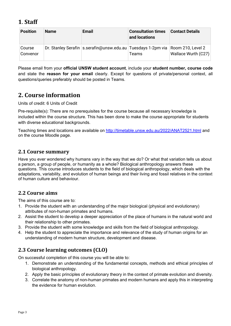# <span id="page-2-0"></span>**1**. **Staff**

| <b>Position</b>    | <b>Name</b> | <b>Email</b>                                                                         | <b>Consultation times</b><br>and locations | <b>Contact Details</b> |
|--------------------|-------------|--------------------------------------------------------------------------------------|--------------------------------------------|------------------------|
| Course<br>Convenor |             | Dr. Stanley Serafin   s.serafin@unsw.edu.au   Tuesdays 1-2pm via   Room 210, Level 2 | Teams                                      | Wallace Wurth (C27)    |

Please email from your **official UNSW student account**, include your **student number, course code**  and state the **reason for your email** clearly. Except for questions of private/personal context, all questions/queries preferably should be posted in Teams*.*

# <span id="page-2-1"></span>**2. Course information**

Units of credit: 6 Units of Credit

Pre-requisite(s): There are no prerequisites for the course because all necessary knowledge is included within the course structure. This has been done to make the course appropriate for students with diverse educational backgrounds.

Teaching times and locations are available on<http://timetable.unsw.edu.au/2022/ANAT2521.html> and on the course Moodle page.

### <span id="page-2-2"></span>**2.1 Course summary**

Have you ever wondered why humans vary in the way that we do? Or what that variation tells us about a person, a group of people, or humanity as a whole? Biological anthropology answers these questions. This course introduces students to the field of biological anthropology, which deals with the adaptations, variability, and evolution of human beings and their living and fossil relatives in the context of human culture and behaviour.

### <span id="page-2-3"></span>**2.2 Course aims**

The aims of this course are to:

- 1. Provide the student with an understanding of the major biological (physical and evolutionary) attributes of non-human primates and humans.
- 2. Assist the student to develop a deeper appreciation of the place of humans in the natural world and their relationship to other primates.
- 3. Provide the student with some knowledge and skills from the field of biological anthropology.
- 4. Help the student to appreciate the importance and relevance of the study of human origins for an understanding of modern human structure, development and disease.

### <span id="page-2-4"></span>**2.3 Course learning outcomes (CLO)**

On successful completion of this course you will be able to:

- 1. Demonstrate an understanding of the fundamental concepts, methods and ethical principles of biological anthropology.
- 2. Apply the basic principles of evolutionary theory in the context of primate evolution and diversity.
- 3. Correlate the anatomy of non-human primates and modern humans and apply this in interpreting the evidence for human evolution.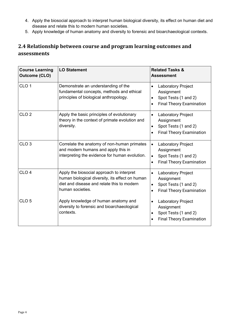- 4. Apply the biosocial approach to interpret human biological diversity, its effect on human diet and disease and relate this to modern human societies.
- 5. Apply knowledge of human anatomy and diversity to forensic and bioarchaeological contexts.

# <span id="page-3-0"></span>**2.4 Relationship between course and program learning outcomes and assessments**

| <b>Course Learning</b><br><b>Outcome (CLO)</b> | <b>LO Statement</b>                                                                                                                                            | <b>Related Tasks &amp;</b><br><b>Assessment</b>                                                                                           |
|------------------------------------------------|----------------------------------------------------------------------------------------------------------------------------------------------------------------|-------------------------------------------------------------------------------------------------------------------------------------------|
| CLO <sub>1</sub>                               | Demonstrate an understanding of the<br>fundamental concepts, methods and ethical<br>principles of biological anthropology.                                     | Laboratory Project<br>$\bullet$<br>Assignment<br>Spot Tests (1 and 2)<br>$\bullet$<br><b>Final Theory Examination</b>                     |
| CLO <sub>2</sub>                               | Apply the basic principles of evolutionary<br>theory in the context of primate evolution and<br>diversity.                                                     | <b>Laboratory Project</b><br>$\bullet$<br>Assignment<br>Spot Tests (1 and 2)<br>$\bullet$<br><b>Final Theory Examination</b><br>$\bullet$ |
| CLO <sub>3</sub>                               | Correlate the anatomy of non-human primates<br>and modern humans and apply this in<br>interpreting the evidence for human evolution.                           | <b>Laboratory Project</b><br>$\bullet$<br>Assignment<br>Spot Tests (1 and 2)<br>$\bullet$<br><b>Final Theory Examination</b><br>$\bullet$ |
| CLO <sub>4</sub>                               | Apply the biosocial approach to interpret<br>human biological diversity, its effect on human<br>diet and disease and relate this to modern<br>human societies. | <b>Laboratory Project</b><br>$\bullet$<br>Assignment<br>Spot Tests (1 and 2)<br>$\bullet$<br><b>Final Theory Examination</b><br>$\bullet$ |
| CLO <sub>5</sub>                               | Apply knowledge of human anatomy and<br>diversity to forensic and bioarchaeological<br>contexts.                                                               | Laboratory Project<br>$\bullet$<br>Assignment<br>Spot Tests (1 and 2)<br>٠<br><b>Final Theory Examination</b>                             |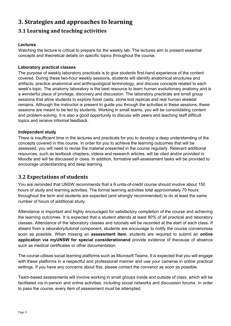# <span id="page-4-0"></span>**3. Strategies and approaches to learning**

### <span id="page-4-1"></span>**3.1 Learning and teaching activities**

#### **Lectures**

Watching the lecture is critical to prepare for the weekly lab. The lectures aim to present essential concepts and theoretical details on specific topics throughout the course.

#### **Laboratory practical classes**

The purpose of weekly laboratory practicals is to give students first-hand experience of the content covered. During these two-hour weekly sessions, students will identify anatomical structures and artifacts, practice anatomical and anthropological terminology, and discuss concepts related to each week's topic. The anatomy laboratory is the best resource to learn human evolutionary anatomy and is a wonderful place of privilege, discovery and discussion. The laboratory practicals are small group sessions that allow students to explore fossil casts, stone tool replicas and real human skeletal remains. Although the instructor is present to guide you through the activities in these sessions, these sessions are meant to be led by students. Working in small teams, you will be consolidating content and problem-solving. It is also a good opportunity to discuss with peers and teaching staff difficult topics and receive informal feedback.

#### **Independent study**

There is insufficient time in the lectures and practicals for you to develop a deep understanding of the concepts covered in this course. In order for you to achieve the learning outcomes that will be assessed, you will need to revise the material presented in the course regularly. Relevant additional resources, such as textbook chapters, videos and research articles, will be cited and/or provided in Moodle and will be discussed in class. In addition, formative self-assessment tasks will be provided to encourage understanding and deep learning.

### <span id="page-4-2"></span>**3.2 Expectations of students**

You are reminded that UNSW recommends that a 6 units-of-credit course should involve about 150 hours of study and learning activities. The formal learning activities total approximately 70 hours throughout the term and students are expected (and strongly recommended) to do at least the same number of hours of additional study.

Attendance is important and highly encouraged for satisfactory completion of the course and achieving the learning outcomes. It is expected that a student attends at least 80% of all practical and laboratory classes. Attendance of the laboratory classes and tutorials will be recorded at the start of each class. If absent from a laboratory/tutorial component, students are encourage to notify the course convenorsas soon as possible. When missing an **assessment item**, students are required to submit an **online application via myUNSW for special considerationand** provide evidence of thecause of absence such as medical certificates or other documentation.

The course utilises social learning platforms such as Microsoft Teams. It is expected that you will engage with these platforms in a respectful and professional manner and use your cameras in online practical settings. If you have any concerns about this, please contact the convenor as soon as possible.

Team-based assessments will involve working in small groups inside and outside of class, which will be facilitated via in-person and online activities, including social networks and discussion forums. In order to pass the course, every item of assessment must be attempted.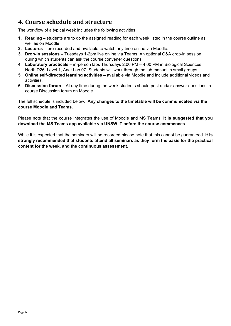# <span id="page-5-0"></span>**4. Course schedule and structure**

The workflow of a typical week includes the following activities:.

- **1. Reading –** students are to do the assigned reading for each week listed in the course outline as well as on Moodle.
- **2. Lectures –** pre-recorded and available to watch any time online via Moodle.
- **3. Drop-in sessions –** Tuesdays 1-2pm live online via Teams. An optional Q&A drop-in session during which students can ask the course convener questions.
- **4. Laboratory practicals –** in-person labs Thursdays 2:00 PM 4:00 PM in Biological Sciences North D26, Level 1, Anat Lab 07. Students will work through the lab manual in small groups.
- **5. Online self-directed learning activities –** available via Moodle and include additional videos and activities.
- **6. Discussion forum**  At any time during the week students should post and/or answer questions in course Discussion forum on Moodle.

The full schedule is included below. **Any changes to the timetable will be communicated via the course Moodle and Teams.** 

Please note that the course integrates the use of Moodle and MS Teams. **It is suggested that you download the MS Teams app available via UNSW IT before the course commences**.

While it is expected that the seminars will be recorded please note that this cannot be guaranteed. **It is strongly recommended that students attend all seminars as they form the basis for the practical content for the week, and the continuous assessment.**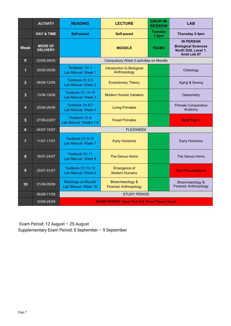|                | <b>ACTIVITY</b>                   | <b>READING</b><br><b>LECTURE</b>                        |                                                  | <b>DROP-IN</b><br><b>SESSION</b> | <b>LAB</b>                                                                                  |
|----------------|-----------------------------------|---------------------------------------------------------|--------------------------------------------------|----------------------------------|---------------------------------------------------------------------------------------------|
|                | <b>DAY &amp; TIME</b>             | <b>Self-paced</b>                                       | <b>Self-paced</b>                                | <b>Tuesday</b><br>$1-2pm$        | Thursday 2-4pm                                                                              |
| <b>Week</b>    | <b>MODE OF</b><br><b>DELIVERY</b> |                                                         | <b>MOODLE</b>                                    | <b>TEAMS</b>                     | <b>IN PERSON</b><br><b>Biological Sciences</b><br>North D26, Level 1,<br><b>Anat Lab 07</b> |
| $\bf{0}$       | 23/05-29/05                       |                                                         | Compulsory Week 0 activities on Moodle           |                                  |                                                                                             |
| 1              | 30/05-05/06                       | Textbook: Ch 1<br>Lab Manual: Week 1                    | Introduction to Biological<br>Anthropology       |                                  | Osteology                                                                                   |
| $\overline{2}$ | 06/06-12/06                       | Textbook Ch 2-5<br>Lab Manual: Week 2                   | <b>Evolutionary Theory</b>                       |                                  | Aging & Sexing                                                                              |
| $\overline{3}$ | 13/06-19/06                       | Textbook Ch 14-15<br>Lab Manual: Week 3                 | <b>Modern Human Variation</b>                    |                                  | Osteometry                                                                                  |
| 4              | 20/06-26/06                       | Textbook Ch 6-7<br>Lab Manual: Week 4                   | <b>Living Primates</b>                           |                                  | <b>Primate Comparative</b><br>Anatomy                                                       |
| $5\phantom{1}$ | 27/06-03/07                       | <b>Textbook Ch 8</b><br>Lab Manual: Weeks 1-4           | <b>Fossil Primates</b>                           |                                  | <b>Spot Test 1</b>                                                                          |
| $6\phantom{1}$ | 04/07-10/07                       | <b>FLEXIWEEK</b>                                        |                                                  |                                  |                                                                                             |
| $\overline{7}$ | 11/07-17/07                       | <b>Textbook Ch 9-10</b><br>Lab Manual: Week 7           | <b>Early Hominins</b>                            |                                  | <b>Early Hominins</b>                                                                       |
| 8              | 18/07-24/07                       | <b>Textbook Ch 11</b><br>Lab Manual: Week 8             | The Genus Homo                                   |                                  | The Genus Homo                                                                              |
| 9              | 25/07-31/07                       | Textbook Ch 12-13<br>Lab Manual: Week 9                 | Emergence of<br><b>Modern Humans</b>             |                                  | <b>Oral Presentations</b>                                                                   |
| 10             | 01/08-05/08                       | <b>Readings on Moodle</b><br>Lab Manual: Week 10        | Bioarchaeology &<br><b>Forensic Anthropology</b> |                                  | Bioarchaeology &<br>Forensic Anthropology                                                   |
|                | 06/08-11/08                       | <b>STUDY PERIOD</b>                                     |                                                  |                                  |                                                                                             |
|                | 12/08-25/08                       | <b>EXAM PERIOD: Spot Test 2 &amp; Final Theory Exam</b> |                                                  |                                  |                                                                                             |

Exam Period: 12 August – 25 August Supplementary Exam Period: 5 September – 9 September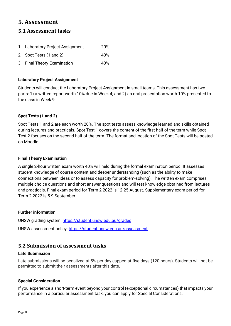# <span id="page-7-0"></span>**5. Assessment**

### <span id="page-7-1"></span>**5.1 Assessment tasks**

| 1. Laboratory Project Assignment | <b>20%</b> |
|----------------------------------|------------|
| 2. Spot Tests (1 and 2)          | 40%        |
| 3. Final Theory Examination      | 40%        |

#### **Laboratory Project Assignment**

Students will conduct the Laboratory Project Assignment in small teams. This assessment has two parts: 1) a written report worth 10% due in Week 4; and 2) an oral presentation worth 10% presented to the class in Week 9.

#### **Spot Tests (1 and 2)**

Spot Tests 1 and 2 are each worth 20%. The spot tests assess knowledge learned and skills obtained during lectures and practicals. Spot Test 1 covers the content of the first half of the term while Spot Test 2 focuses on the second half of the term. The format and location of the Spot Tests will be posted on Moodle.

#### **Final Theory Examination**

A single 2-hour written exam worth 40% will held during the formal examination period. It assesses student knowledge of course content and deeper understanding (such as the ability to make connections between ideas or to assess capacity for problem-solving). The written exam comprises multiple choice questions and short answer questions and will test knowledge obtained from lectures and practicals. Final exam period for Term 2 2022 is 12-25 August. Supplementary exam period for Term 2 2022 is 5-9 September.

#### **Further information**

UNSW grading system:<https://student.unsw.edu.au/grades> UNSW assessment policy:<https://student.unsw.edu.au/assessment>

### <span id="page-7-2"></span>**5.2 Submission of assessment tasks**

#### **Late Submission**

Late submissions will be penalized at 5% per day capped at five days (120 hours). Students will not be permitted to submit their assessments after this date.

#### **Special Consideration**

If you experience a short-term event beyond your control (exceptional circumstances) that impacts your performance in a particular assessment task, you can apply for Special Considerations.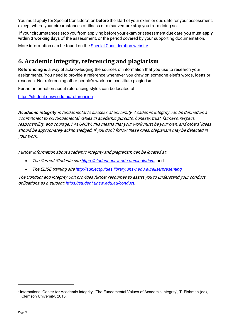You must apply for Special Consideration **before** the start of your exam or due date for your assessment, except where your circumstances of illness or misadventure stop you from doing so.

If your circumstances stop you from applying before your exam or assessment due date, you must **apply within 3 working days** of the assessment, or the period covered by your supporting documentation.

More information can be found on the [Special Consideration website.](https://www.student.unsw.edu.au/special-consideration)

# <span id="page-8-0"></span>**6. Academic integrity, referencing and plagiarism**

**Referencing** is a way of acknowledging the sources of information that you use to research your assignments. You need to provide a reference whenever you draw on someone else's words, ideas or research. Not referencing other people's work can constitute plagiarism.

Further information about referencing styles can be located at

<https://student.unsw.edu.au/referencing>

*Academic integrity* is fundamental to success at university. Academic integrity can be defined as a commitment to six fundamental values in academic pursuits: honesty, trust, fairness, respect, responsibility, and courage.[1](#page-8-1) At UNSW, this means that your work must be your own, and others' ideas should be appropriately acknowledged. If you don't follow these rules, plagiarism may be detected in your work.

Further information about academic integrity and plagiarism can be located at:

- The Current Students site *<https://student.unsw.edu.au/plagiarism>***,** and
- The ELISE training site *<http://subjectguides.library.unsw.edu.au/elise/presenting>*

The Conduct and Integrity Unit provides further resources to assist you to understand your conduct obligations as a student: *<https://student.unsw.edu.au/conduct>*.

<span id="page-8-1"></span><sup>1</sup> International Center for Academic Integrity, 'The Fundamental Values of Academic Integrity', T. Fishman (ed), Clemson University, 2013.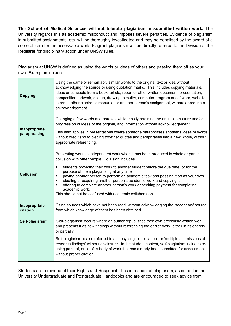**The School of Medical Sciences will not tolerate plagiarism in submitted written work.** The University regards this as academic misconduct and imposes severe penalties. Evidence of plagiarism in submitted assignments, etc. will be thoroughly investigated and may be penalised by the award of a score of zero for the assessable work. Flagrant plagiarism will be directly referred to the Division of the Registrar for disciplinary action under UNSW rules.

Plagiarism at UNSW is defined as using the words or ideas of others and passing them off as your own. Examples include:

| <b>Copying</b>            | Using the same or remarkably similar words to the original text or idea without<br>acknowledging the source or using quotation marks. This includes copying materials,<br>ideas or concepts from a book, article, report or other written document, presentation,<br>composition, artwork, design, drawing, circuitry, computer program or software, website,<br>internet, other electronic resource, or another person's assignment, without appropriate<br>acknowledgement.                                    |
|---------------------------|------------------------------------------------------------------------------------------------------------------------------------------------------------------------------------------------------------------------------------------------------------------------------------------------------------------------------------------------------------------------------------------------------------------------------------------------------------------------------------------------------------------|
| Inappropriate             | Changing a few words and phrases while mostly retaining the original structure and/or<br>progression of ideas of the original, and information without acknowledgement.                                                                                                                                                                                                                                                                                                                                          |
| paraphrasing              | This also applies in presentations where someone paraphrases another's ideas or words<br>without credit and to piecing together quotes and paraphrases into a new whole, without<br>appropriate referencing.                                                                                                                                                                                                                                                                                                     |
|                           | Presenting work as independent work when it has been produced in whole or part in<br>collusion with other people. Collusion includes                                                                                                                                                                                                                                                                                                                                                                             |
| <b>Collusion</b>          | students providing their work to another student before the due date, or for the<br>Ξ<br>purpose of them plagiarising at any time<br>paying another person to perform an academic task and passing it off as your own<br>$\blacksquare$<br>stealing or acquiring another person's academic work and copying it<br>$\blacksquare$<br>offering to complete another person's work or seeking payment for completing<br>$\blacksquare$<br>academic work.<br>This should not be confused with academic collaboration. |
| Inappropriate<br>citation | Citing sources which have not been read, without acknowledging the 'secondary' source<br>from which knowledge of them has been obtained.                                                                                                                                                                                                                                                                                                                                                                         |
| Self-plagiarism           | 'Self-plagiarism' occurs where an author republishes their own previously written work<br>and presents it as new findings without referencing the earlier work, either in its entirety<br>or partially.                                                                                                                                                                                                                                                                                                          |
|                           | Self-plagiarism is also referred to as 'recycling', 'duplication', or 'multiple submissions of<br>research findings' without disclosure. In the student context, self-plagiarism includes re-<br>using parts of, or all of, a body of work that has already been submitted for assessment<br>without proper citation.                                                                                                                                                                                            |

Students are reminded of their Rights and Responsibilities in respect of plagiarism, as set out in the University Undergraduate and Postgraduate Handbooks and are encouraged to seek advice from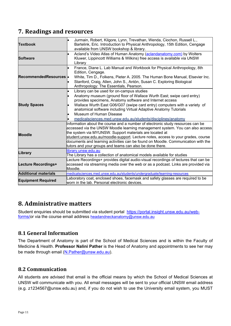# <span id="page-10-0"></span>**7. Readings and resources**

| <b>Textbook</b>             | Jurmain, Robert, Kilgore, Lynn, Trevathan, Wenda, Ciochon, Russell L.,<br>Bartelink, Eric. Introduction to Physical Anthropology, 15th Edition, Cengage<br>available from UNSW bookshop & library.                               |  |  |
|-----------------------------|----------------------------------------------------------------------------------------------------------------------------------------------------------------------------------------------------------------------------------|--|--|
| <b>Software</b>             | Acland's Video Atlas of Human Anatomy (aclandanatomy.com) by Wolters<br>Kluwer, Lippincott Williams & Wilkins) free access is available via UNSW<br>Library                                                                      |  |  |
|                             | France, Diane L. Lab Manual and Workbook for Physical Anthropology, 8th<br>Edition, Cengage.                                                                                                                                     |  |  |
| RecommendedResources .      | White, Tim D., Folkens, Pieter A. 2005. The Human Bone Manual, Elsevier Inc.<br>Stanford, Craig, Allen, John S., Antón, Susan C. Exploring Biological<br>Anthropology: The Essentials, Pearson.                                  |  |  |
|                             | Library can be used for on-campus studies<br>$\bullet$                                                                                                                                                                           |  |  |
|                             | Anatomy museum (ground floor of Wallace Wurth East; swipe card entry)<br>provides specimens, Anatomy software and Internet access                                                                                                |  |  |
| <b>Study Spaces</b>         | Wallace Wurth East G06/G07 (swipe card entry) computers with a variety of<br>anatomical software including Virtual Adaptive Anatomy Tutorials                                                                                    |  |  |
|                             | Museum of Human Disease                                                                                                                                                                                                          |  |  |
|                             | medicalsciences.med.unsw.edu.au/students/disciplines/anatomy                                                                                                                                                                     |  |  |
| <b>Moodle</b>               | Information about the course and a number of electronic study resources can be<br>accessed via the UNSW Moodle learning management system. You can also access<br>the system via MYUNSW. Support materials are located at        |  |  |
|                             | student.unsw.edu.au/moodle-support. Lecture notes, access to your grades, course<br>documents and learning activities can be found on Moodle. Communication with the<br>tutors and your groups and teams can also be done there. |  |  |
| Library                     | library.unsw.edu.au<br>The Library has a collection of anatomical models available for studies                                                                                                                                   |  |  |
| Lecture Recordings+         | Lecture Recordings+ provides digital audio-visual recordings of lectures that can be<br>accessed via streaming media over the web or as a podcast. Links are provided via<br>Moodle.                                             |  |  |
| <b>Additional materials</b> | medicalsciences.med.unsw.edu.au/students/undergraduate/learning-resources                                                                                                                                                        |  |  |
| <b>Equipment Required</b>   | Laboratory coat, enclosed shoes, facemask and safety glasses are required to be<br>lworn in the lab. Personal electronic devices.                                                                                                |  |  |

# <span id="page-10-1"></span>**8. Administrative matters**

Student enquiries should be submitted via student portal [https://portal.insight.unsw.edu.au/web](https://portal.insight.unsw.edu.au/web-forms/)[forms/o](https://portal.insight.unsw.edu.au/web-forms/)r via the course email address [headandneckanatomy@unsw.edu.au](mailto:headandneckanatomy@unsw.edu.au)

### <span id="page-10-2"></span>**8.1 General Information**

The Department of Anatomy is part of the School of Medical Sciences and is within the Faculty of Medicine & Health. **Professor Nalini Pather** is the Head of Anatomy and appointments to see her may be made through email [\(N.Pather@unsw.edu.au\)](mailto:N.Pather@unsw.edu.au).

### <span id="page-10-3"></span>**8.2 Communication**

All students are advised that email is the official means by which the School of Medical Sciences at UNSW will communicate with you. All email messages will be sent to your official UNSW email address (e.g. z1234567@unsw.edu.au) and, if you do not wish to use the University email system, you MUST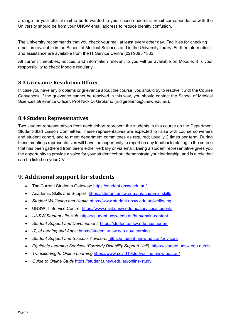arrange for your official mail to be forwarded to your chosen address. Email correspondence with the University should be from your UNSW email address to reduce identity confusion.

The University recommends that you check your mail at least every other day. Facilities for checking email are available in the School of Medical Sciences and in the University library. Further information and assistance are available from the [IT Service Centre](https://www.it.unsw.edu.au/students/index.html) (02) 9385 1333.

All current timetables, notices, and information relevant to you will be available on Moodle. It is your responsibility to check Moodle regularly.

### <span id="page-11-0"></span>**8.3 Grievance Resolution Officer**

In case you have any problems or grievance about the course, you should try to resolve it with the Course Convenors. If the grievance cannot be resolved in this way, you should contact the School of Medical Sciences Grievance Officer, Prof Nick Di Girolamo [\(n.digirolamo@unsw.edu.au\)](mailto:n.digirolamo@unsw.edu.au).

### <span id="page-11-1"></span>**8.4 Student Representatives**

Two student representatives from each cohort represent the students in this course on the Department Student-Staff Liaison Committee. These representatives are expected to liaise with course conveners and student cohort, and to meet department committees as required; usually 2 times per term. During these meetings representatives will have the opportunity to report on any feedback relating to the course that has been gathered from peers either verbally or via email. Being a student representative gives you the opportunity to provide a voice for your student cohort, demonstrate your leadership, and is a role that can be listed on your CV.

# <span id="page-11-2"></span>**9. Additional support for students**

- The Current Students Gateway:<https://student.unsw.edu.au/>
- Academic Skills and Support:<https://student.unsw.edu.au/academic-skills>
- *Student Wellbeing and Health* <https://www.student.unsw.edu.au/wellbeing>
- UNSW IT Service Centre:<https://www.myit.unsw.edu.au/services/students>
- *UNSW Student Life Hub:* <https://student.unsw.edu.au/hub#main-content>
- *Student Support and Development:* <https://student.unsw.edu.au/support>
- *IT, eLearning and Apps:* <https://student.unsw.edu.au/elearning>
- *Student Support and Success Advisors:* <https://student.unsw.edu.au/advisors>
- *Equitable Learning Services (Formerly Disability Support Unit):* <https://student.unsw.edu.au/els>
- *Transitioning to Online Learning* <https://www.covid19studyonline.unsw.edu.au/>
- *Guide to Online Study* <https://student.unsw.edu.au/online-study>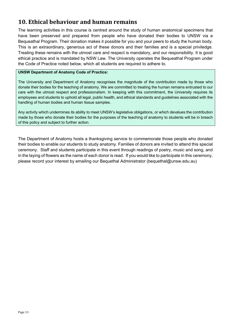# <span id="page-12-0"></span>**10. Ethical behaviour and human remains**

The learning activities in this course is centred around the study of human anatomical specimens that have been preserved and prepared from people who have donated their bodies to UNSW via a Bequeathal Program. Their donation makes it possible for you and your peers to study the human body. This is an extraordinary, generous act of these donors and their families and is a special priviledge. Treating these remains with the utmost care and respect is mandatory, and our responsibility. It is good ethical practice and is mandated by NSW Law. The University operates the Bequeathal Program under the Code of Practice noted below, which all students are required to adhere to.

#### **UNSW Department of Anatomy Code of Practice:**

The University and Department of Anatomy recognises the magnitude of the contribution made by those who donate their bodies for the teaching of anatomy. We are committed to treating the human remains entrusted to our care with the utmost respect and professionalism. In keeping with this commitment, the University requires its employees and students to uphold all legal, public health, and ethical standards and guidelines associated with the handling of human bodies and human tissue samples.

Any activity which undermines its ability to meet UNSW's legislative obligations, or which devalues the contribution made by those who donate their bodies for the purposes of the teaching of anatomy to students will be in breach of this policy and subject to further action.

The Department of Anatomy hosts a thanksgiving service to commemorate those people who donated their bodies to enable our students to study anatomy. Families of donors are invited to attend this special ceremony. Staff and students participate in this event through readings of poetry, music and song, and in the laying of flowers as the name of each donor is read. If you would like to participate in this ceremony, please record your interest by emailing our Bequethal Administrator (bequethal@unsw.edu.au)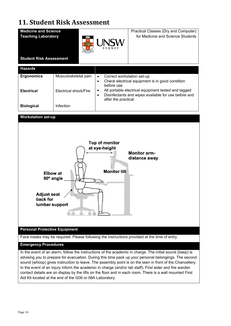# <span id="page-13-0"></span>**11. Student Risk Assessment**



Aid Kit located at the end of the G06 or 08A Laboratory.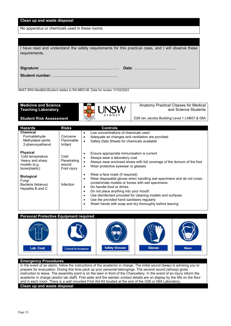#### **Clean up and waste disposal**

No apparatus or chemicals used in these rooms.

| I have read and understand the safety requirements for this practical class, and I will observe these<br>requirements. |  |
|------------------------------------------------------------------------------------------------------------------------|--|
| Date:                                                                                                                  |  |
|                                                                                                                        |  |
|                                                                                                                        |  |

ANAT-SRA-Med&SciStudent relates to RA-MED-06. Date for review: 01/02/2023

| <b>Medicine and Science</b> | SCIENTIA | Anatomy Practical Classes for Medical       |
|-----------------------------|----------|---------------------------------------------|
| Teaching Laboratory         | UNSW     | and Science Students                        |
| Student Risk Assessment     |          | D26 Ian Jacobs Building Level 1 LAB07 & 08A |

| <b>Hazards</b>                                                                          | <b>Risks</b>                                | <b>Controls</b>                                                                                                                                                                                                                                                                                                                                                                                                                                                           |
|-----------------------------------------------------------------------------------------|---------------------------------------------|---------------------------------------------------------------------------------------------------------------------------------------------------------------------------------------------------------------------------------------------------------------------------------------------------------------------------------------------------------------------------------------------------------------------------------------------------------------------------|
| <b>Chemical</b><br>Formaldehyde<br>Methylated spirits<br>2-phenoxyethanol               | Corrosive<br>Flammable<br>Irritant          | Low concentrations of chemicals used<br>$\bullet$<br>Adequate air changes and ventilation are provided<br>$\bullet$<br>Safety Data Sheets for chemicals available<br>$\bullet$                                                                                                                                                                                                                                                                                            |
| <b>Physical</b><br>Cold temperature<br>Heavy and sharp<br>models (e.g.<br>bone/plastic) | Cold<br>Penetrating<br>wound<br>Foot injury | Ensure appropriate immunisation is current<br>٠<br>Always wear a laboratory coat<br>٠<br>Always wear enclosed shoes with full coverage of the dorsum of the foot<br>$\bullet$<br>Wear protective eyewear or glasses<br>$\bullet$                                                                                                                                                                                                                                          |
| <b>Biological</b><br>Fungi<br>Bacteria (tetanus)<br>Hepatitis B and C                   | <b>Infection</b>                            | Wear a face mask (if required)<br>٠<br>Wear disposable gloves when handling wet specimens and do not cross-<br>$\bullet$<br>contaminate models or bones with wet specimens<br>Do handle food or drinks<br>$\bullet$<br>Do not place anything into your mouth<br>$\bullet$<br>Use disinfectant provided for cleaning models and surfaces<br>$\bullet$<br>Use the provided hand sanitisers regularly<br>$\bullet$<br>Wash hands with soap and dry thoroughly before leaving |

#### **Personal Protective Equipment required**



#### **Emergency Procedures**

**Clean up and waste disposal** In the event of an alarm, follow the instructions of the academic in charge. The initial sound (beep) is advising you to prepare for evacuation. During this time pack up your personal belongings. The second sound (whoop) gives instruction to leave. The assembly point is on the lawn in front of the Chancellery. In the event of an injury inform the academic in charge (and/or lab staff). First aider and fire warden contact details are on display by the lifts on the floor and in each room. There is a wall mounted First Aid Kit located at the end of the G06 or 08A Laboratory.

#### Page 15